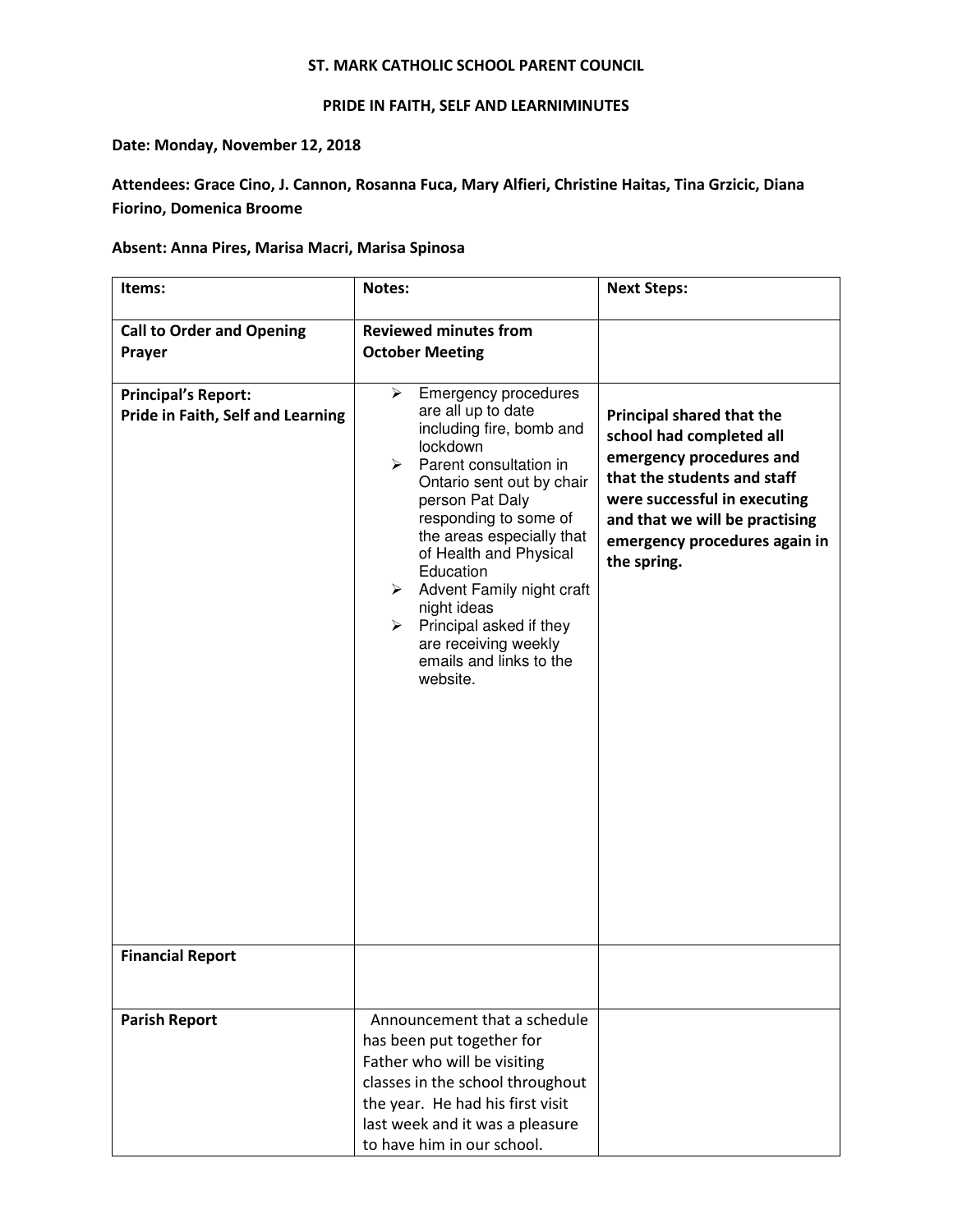## ST. MARK CATHOLIC SCHOOL PARENT COUNCIL

## PRIDE IN FAITH, SELF AND LEARNIMINUTES

Date: Monday, November 12, 2018

Attendees: Grace Cino, J. Cannon, Rosanna Fuca, Mary Alfieri, Christine Haitas, Tina Grzicic, Diana Fiorino, Domenica Broome

## Absent: Anna Pires, Marisa Macri, Marisa Spinosa

| Items:                                                          | Notes:                                                                                                                                                                                                                                                                                                                                                                                                                     | <b>Next Steps:</b>                                                                                                                                                                                                                 |
|-----------------------------------------------------------------|----------------------------------------------------------------------------------------------------------------------------------------------------------------------------------------------------------------------------------------------------------------------------------------------------------------------------------------------------------------------------------------------------------------------------|------------------------------------------------------------------------------------------------------------------------------------------------------------------------------------------------------------------------------------|
| <b>Call to Order and Opening</b><br>Prayer                      | <b>Reviewed minutes from</b><br><b>October Meeting</b>                                                                                                                                                                                                                                                                                                                                                                     |                                                                                                                                                                                                                                    |
| <b>Principal's Report:</b><br>Pride in Faith, Self and Learning | <b>Emergency procedures</b><br>➤<br>are all up to date<br>including fire, bomb and<br>lockdown<br>Parent consultation in<br>≻<br>Ontario sent out by chair<br>person Pat Daly<br>responding to some of<br>the areas especially that<br>of Health and Physical<br>Education<br>Advent Family night craft<br>≻<br>night ideas<br>Principal asked if they<br>≻<br>are receiving weekly<br>emails and links to the<br>website. | Principal shared that the<br>school had completed all<br>emergency procedures and<br>that the students and staff<br>were successful in executing<br>and that we will be practising<br>emergency procedures again in<br>the spring. |
| <b>Financial Report</b>                                         |                                                                                                                                                                                                                                                                                                                                                                                                                            |                                                                                                                                                                                                                                    |
| <b>Parish Report</b>                                            | Announcement that a schedule<br>has been put together for<br>Father who will be visiting<br>classes in the school throughout<br>the year. He had his first visit<br>last week and it was a pleasure<br>to have him in our school.                                                                                                                                                                                          |                                                                                                                                                                                                                                    |